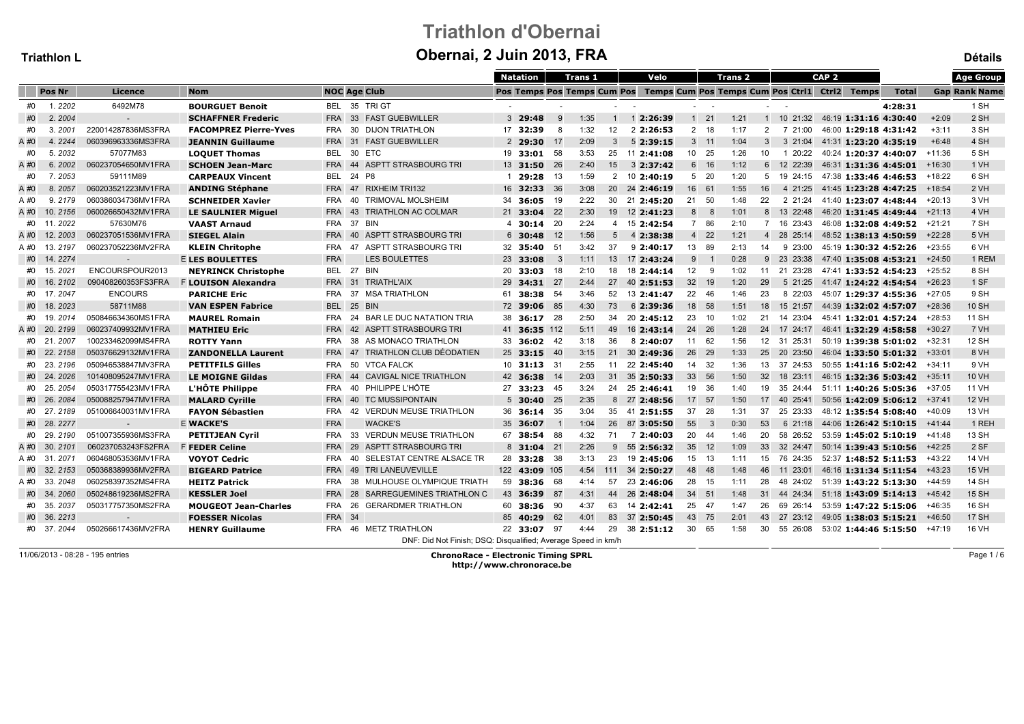# Triathlon d'ObernaiObernai, 2 Juin 2013, FRA

|      | Triathlon L   |                          |                              | Obernal, 2 Juin 2013, FRA                                                    |                             |                |      |                |                |             |                            |                      |                                               |  |                              |              | <b>Détails</b> |                      |
|------|---------------|--------------------------|------------------------------|------------------------------------------------------------------------------|-----------------------------|----------------|------|----------------|----------------|-------------|----------------------------|----------------------|-----------------------------------------------|--|------------------------------|--------------|----------------|----------------------|
|      |               |                          |                              | Natation<br>Velo<br>CAP <sub>2</sub><br><b>Trans 1</b><br>Trans <sub>2</sub> |                             |                |      |                |                |             |                            |                      |                                               |  | <b>Age Group</b>             |              |                |                      |
|      | Pos Nr        | Licence                  | <b>Nom</b>                   | <b>NOC Age Club</b>                                                          | Pos Temps Pos Temps Cum Pos |                |      |                |                |             |                            |                      | Temps Cum Pos Temps Cum Pos Ctri1 Ctri2 Temps |  |                              | <b>Total</b> |                | <b>Gap Rank Name</b> |
| #0   | 1.2202        | 6492M78                  | <b>BOURGUET Benoit</b>       | BEL 35 TRIGT                                                                 |                             |                |      |                |                |             | $\sim$ $-$                 |                      |                                               |  |                              | 4:28:31      |                | 1 SH                 |
| #0   | 2.2004        |                          | <b>SCHAFFNER Frederic</b>    | 33 FAST GUEBWILLER<br><b>FRA</b>                                             | $3\;\;29:48$                | 9              | 1:35 | $\overline{1}$ | 12:26:39       |             | $1 \quad 21$               | 1:21                 | 1 10 21:32                                    |  | 46:19 1:31:16 4:30:40        |              | $+2:09$        | 2 SH                 |
| #0   | 3.2001        | 220014287836MS3FRA       | <b>FACOMPREZ Pierre-Yves</b> | 30 DIJON TRIATHLON<br><b>FRA</b>                                             | 17 32:39                    | 8              | 1:32 | 12             | 2 2:26:53      |             | 2 18                       | 1:17                 | 7 21:00<br>$2^{\circ}$                        |  | 46:00 1:29:18 4:31:42        |              | $+3:11$        | 3 SH                 |
| A #0 | 4.2244        | 060396963336MS3FRA       | <b>JEANNIN Guillaume</b>     | FRA 31 FAST GUEBWILLER                                                       | $2\,$ 29:30                 | 17             | 2:09 | 3              | 52:39:15       |             | $3 \quad 11$               | 1:04<br>$\mathbf{3}$ | 3 21:04                                       |  | 41:31 1:23:20 4:35:19        |              | $+6:48$        | 4 SH                 |
| #0   | 5.2032        | 57077M83                 | <b>LOQUET Thomas</b>         | 30 ETC<br>BEL                                                                | 19 33:01 58                 |                | 3:53 | 25             | 11 2:41:08     |             | 10 25                      | 1:26<br>10           | 1 20:22                                       |  | 40:24 1:20:37 4:40:07 +11:36 |              |                | 5 SH                 |
| A #0 | 6.2002        | 060237054650MV1FRA       | <b>SCHOEN Jean-Marc</b>      | 44 ASPTT STRASBOURG TRI<br><b>FRA</b>                                        | 13 31:50                    | 26             | 2:40 | 15             | $3$ 2:37:42    | 6           | 16                         | 1:12                 | 6 12 22:39                                    |  | 46:31 1:31:36 4:45:01        |              | $+16:30$       | 1 VH                 |
| #0   | 7.2053        | 59111M89                 | <b>CARPEAUX Vincent</b>      | <b>BEL</b><br>24 P8                                                          | 1 29:28                     | - 13           | 1:59 | $\mathbf{2}$   | 10 2:40:19     |             | 5 20                       | 1:20<br>5            | 19 24:15 47:38 1:33:46 4:46:53                |  |                              |              | +18:22         | 6 SH                 |
| A #0 | 8.2057        | 060203521223MV1FRA       | <b>ANDING Stéphane</b>       | <b>FRA</b><br>47 RIXHEIM TRI132                                              | 16 32:33                    | 36             | 3:08 |                | 20 24 2:46:19  |             | 16 61                      | 1:55<br>16           | 4 21:25                                       |  | 41:45 1:23:28 4:47:25        |              | $+18:54$       | 2 VH                 |
| A #0 | 9.2179        | 060386034736MV1FRA       | <b>SCHNEIDER Xavier</b>      | 40 TRIMOVAL MOLSHEIM<br><b>FRA</b>                                           | 34 36:05                    | 19             | 2:22 |                | 30 21 2:45:20  | 21          | -50                        | 22<br>1:48           | 2 21:24                                       |  | 41:40 1:23:07 4:48:44        |              | +20:13         | 3 VH                 |
| A#0  | 10.2156       | 060026650432MV1FRA       | <b>LE SAULNIER Miguel</b>    | <b>FRA</b><br>43 TRIATHLON AC COLMAR                                         | 21 33:04                    | 22             | 2:30 | 19             | 12 2:41:23     | 8           | 8                          | 1:01                 | 8 13 22:48                                    |  | 46:20 1:31:45 4:49:44 +21:13 |              |                | 4 VH                 |
| #0   | 11, 2022      | 57630M76                 | <b>VAAST Arnaud</b>          | 37 BIN<br><b>FRA</b>                                                         | $4\quad 30:14$              | 20             | 2:24 | $\overline{4}$ | 15 2:42:54     | $7^{\circ}$ | 86                         | 2:10                 | 7 16 23:43                                    |  | 46:08 1:32:08 4:49:52        |              | +21:21         | 7 SH                 |
| A #0 | 12.2003       | 060237051536MV1FRA       | <b>SIEGEL Alain</b>          | <b>FRA</b><br>40 ASPTT STRASBOURG TRI                                        | $6\quad 30:48$              | 12             | 1:56 | 5              | 4 2:38:38      |             | 4 22                       | 1:21                 | 4 28 25:14                                    |  | 48:52 1:38:13 4:50:59        |              | $+22:28$       | 5 VH                 |
|      | A #0 13.2197  | 060237052236MV2FRA       | <b>KLEIN Chritophe</b>       | 47 ASPTT STRASBOURG TRI<br>FRA                                               | 32 35:40                    | - 51           | 3:42 | 37             | 92:40:17       |             | 13 89                      | 2:13<br>14           | 9 23:00                                       |  | 45:19 1:30:32 4:52:26        |              | +23:55         | 6 VH                 |
|      | #0 14.2274    | $\overline{\phantom{a}}$ | <b>E LES BOULETTES</b>       | <b>LES BOULETTES</b><br><b>FRA</b>                                           | 23 33:08                    | $\mathbf{3}$   | 1:11 | 13             | 17 2:43:24     | 9           | $\overline{\phantom{0}}$ 1 | 0:28                 | 9 23 23:38                                    |  | 47:40 1:35:08 4:53:21        |              | $+24:50$       | 1 REM                |
|      | #0 15.2021    | ENCOURSPOUR2013          | <b>NEYRINCK Christophe</b>   | <b>BEL</b><br>27 BIN                                                         | 20 33:03                    | 18             | 2:10 | 18             | 18 2:44:14     | 12          | - 9                        | 1:02<br>11           | 21 23:28                                      |  | 47:41 1:33:52 4:54:23        |              | $+25:52$       | 8 SH                 |
|      | #0 16.2102    | 090408260353FS3FRA       | <b>F LOUISON Alexandra</b>   | 31<br><b>TRIATHL'AIX</b><br><b>FRA</b>                                       | $29$ 34:31                  | 27             | 2:44 | 27             | 40 2:51:53     | 32          | - 19                       | 29<br>1:20           | 5 21:25                                       |  | 41:47 1:24:22 4:54:54        |              | $+26:23$       | 1 SF                 |
|      | #0 17.2047    | <b>ENCOURS</b>           | <b>PARICHE Eric</b>          | 37 MSA TRIATHLON<br><b>FRA</b>                                               | 61 38:38 54                 |                | 3:46 | 52             | 13 2:41:47     |             | 22 46                      | 23<br>1:46           | 8 22:03                                       |  | 45:07 1:29:37 4:55:36        |              | +27:05         | 9 SH                 |
|      | #0 18.2023    | 58711M88                 | <b>VAN ESPEN Fabrice</b>     | BEL 25 BIN                                                                   | 72 39:06 85                 |                | 4:30 | 73             | 6 2:39:36      |             | 18 58                      | 1:51                 | 18 15 21:57                                   |  | 44:39 1:32:02 4:57:07        |              | $+28:36$       | <b>10 SH</b>         |
| #0   | 19.2014       | 050846634360MS1FRA       | <b>MAUREL Romain</b>         | BAR LE DUC NATATION TRIA<br>FRA<br>24                                        | 38 36:17 28                 |                | 2:50 | 34             | 20 2:45:12     | 23          | - 10                       | 1:02                 | 21 14 23:04                                   |  | 45:41 1:32:01 4:57:24        |              | +28:53         | 11 SH                |
| A #0 | 20.2199       | 060237409932MV1FRA       | <b>MATHIEU Eric</b>          | 42 ASPTT STRASBOURG TRI<br><b>FRA</b>                                        | 41 36:35 112                |                | 5:11 | 49             | 16 2:43:14     |             | 24 26                      | 1:28<br>24           | 17 24:17                                      |  | 46:41 1:32:29 4:58:58        |              | +30:27         | 7 VH                 |
|      | #0 21, 2007   | 100233462099MS4FRA       | <b>ROTTY Yann</b>            | 38 AS MONACO TRIATHLON<br><b>FRA</b>                                         | 33 36:02                    | - 42           | 3:18 | 36             | 8 2:40:07      |             | 11 62                      | 1:56                 | 12 31 25:31                                   |  | 50:19 1:39:38 5:01:02        |              | $+32:31$       | 12 SH                |
|      | #0 22.2158    | 050376629132MV1FRA       | <b>ZANDONELLA Laurent</b>    | 47 TRIATHLON CLUB DÉODATIEN<br><b>FRA</b>                                    | $25$ 33:15                  | 40             | 3:15 | 21             | 30 2:49:36     |             | 26 29                      | 1:33<br>25           | 20 23:50                                      |  | 46:04 1:33:50 5:01:32        |              | $+33:01$       | 8 VH                 |
|      | #0 23.2196    | 050946538847MV3FRA       | <b>PETITFILS Gilles</b>      | 50 VTCA FALCK<br>FRA                                                         | 10 31:13 31                 |                | 2:55 | 11             | 22 2:45:40     |             | 14 32                      | 1:36                 | 13 37 24:53                                   |  | 50:55 1:41:16 5:02:42 +34:11 |              |                | 9 VH                 |
|      | #0 24.2026    | 101408095247MV1FRA       | <b>LE MOIGNE Gildas</b>      | 44 CAVIGAL NICE TRIATHLON<br><b>FRA</b>                                      | 42 36:38                    | 14             | 2:03 | 31             | 35 2:50:33     | 33          | - 56                       | 1:50<br>32           | 18 23:11                                      |  | 46:15 1:32:36 5:03:42        |              | $+35:11$       | <b>10 VH</b>         |
|      | #0 25.2054    | 050317755423MV1FRA       | L'HÔTE Philippe              | 40 PHILIPPE L'HÔTE<br><b>FRA</b>                                             | 27 33:23 45                 |                | 3:24 | 24             | 25 2:46:41     |             | 19 36                      | 1:40<br>19           | 35 24:44                                      |  | 51:11 1:40:26 5:05:36        |              | +37:05         | 11 VH                |
|      | #0 26.2084    | 050088257947MV1FRA       | <b>MALARD Cyrille</b>        | 40 TC MUSSIPONTAIN<br><b>FRA</b>                                             | $5\,30:40$                  | 25             | 2:35 | 8              | 27 2:48:56     |             | 17 57                      | 1:50<br>17           | 40 25:41                                      |  | 50:56 1:42:09 5:06:12        |              | $+37:41$       | <b>12 VH</b>         |
|      | #0 27.2189    | 051006640031MV1FRA       | <b>FAYON Sébastien</b>       | 42 VERDUN MEUSE TRIATHLON<br><b>FRA</b>                                      | $36$ 36:14                  | 35             | 3:04 | 35             | 41 2:51:55     |             | 37 28                      | 37<br>1:31           | 25 23:33                                      |  | 48:12 1:35:54 5:08:40        |              | $+40:09$       | 13 VH                |
|      | #0 28.2277    |                          | <b>E WACKE'S</b>             | <b>FRA</b><br><b>WACKE'S</b>                                                 | 35 36:07                    | $\overline{1}$ | 1:04 | 26             | 87 3:05:50     | 55          | $\overline{\mathbf{3}}$    | 53<br>0:30           | 621:18                                        |  | 44:06 1:26:42 5:10:15        |              | $+41:44$       | 1 REH                |
| #0   | 29.2190       | 051007355936MS3FRA       | <b>PETITJEAN Cyril</b>       | 33 VERDUN MEUSE TRIATHLON<br><b>FRA</b>                                      | 67 38:54                    | - 88           | 4:32 | 71             | 7 2:40:03      |             | 20 44                      | 20<br>1:46           | 58 26:52                                      |  | 53:59 1:45:02 5:10:19        |              | +41:48         | 13 SH                |
| A #0 | 30, 2101      | 060237053243FS2FRA       | <b>F FEDER Celine</b>        | <b>FRA</b><br>29 ASPTT STRASBOURG TRI                                        | $8\,31:04$                  | 21             | 2:26 | 9              | 55 2:56:32     | 35          | 12                         | 1:09<br>33           | 32 24:47                                      |  | 50:14 1:39:43 5:10:56        |              | +42:25         | 2 SF                 |
| A #0 | 31.2071       | 060468053536MV1FRA       | <b>VOYOT Cedric</b>          | SELESTAT CENTRE ALSACE TR<br><b>FRA</b><br>40                                | 28 33:28                    | -38            | 3:13 | 23             | 19 2:45:06     |             | 15 13                      | 1:11<br>15           | 76 24:35                                      |  | 52:37 1:48:52 5:11:53        |              | +43:22         | 14 VH                |
| #0   | 32.2153       | 050368389936MV2FRA       | <b>BIGEARD Patrice</b>       | 49 TRI LANEUVEVILLE<br><b>FRA</b>                                            | 122 43:09 105               |                | 4:54 |                | 111 34 2:50:27 |             | 48 48                      | 1:48<br>46           | 11 23:01                                      |  | 46:16 1:31:34 5:11:54        |              | +43:23         | 15 VH                |
|      | A #0 33, 2048 | 060258397352MS4FRA       | <b>HEITZ Patrick</b>         | 38 MULHOUSE OLYMPIQUE TRIATH<br><b>FRA</b>                                   | 59 38:36 68                 |                | 4:14 | 57             | 23 2:46:06     |             | 28 15                      | 28<br>1:11           | 48 24:02 51:39 1:43:22 5:13:30                |  |                              |              | $+44:59$       | 14 SH                |
|      | #0 34.2060    | 050248619236MS2FRA       | <b>KESSLER Joel</b>          | 28<br>SARREGUEMINES TRIATHLON C<br><b>FRA</b>                                | 43 36:39 87                 |                | 4:31 | 44             | 26 2:48:04     |             | 34 51                      | 1:48<br>31           | 44 24:34                                      |  | 51:18 1:43:09 5:14:13        |              | $+45:42$       | <b>15 SH</b>         |
|      | #0 35.2037    | 050317757350MS2FRA       | <b>MOUGEOT Jean-Charles</b>  | 26<br><b>GERARDMER TRIATHLON</b><br>FRA                                      | 60 38:36                    | 90             | 4:37 | 63             | 14 2:42:41     |             | 25 47                      | 26<br>1:47           | 69 26:14                                      |  | 53:59 1:47:22 5:15:06        |              | $+46:35$       | 16 SH                |
|      | #0 36.2213    |                          | <b>FOESSER Nicolas</b>       | FRA 34                                                                       | 85 40:29                    | 62             | 4:01 | 83             | 37 2:50:45     |             | 43 75                      | 2:01<br>43           | 27 23:12                                      |  | 49:05 1:38:03 5:15:21        |              | +46:50         | <b>17 SH</b>         |
|      | #0 37.2044    | 050266617436MV2FRA       | <b>HENRY Guillaume</b>       | FRA 46 METZ TRIATHLON                                                        | 22 33:07 97                 |                | 4:44 | 29             | 38 2:51:12     |             | 30 65                      | 1:58                 | 30 55 26:08 53:02 1:44:46 5:15:50             |  |                              |              | $+47:19$       | 16 VH                |
|      |               |                          |                              | DNF: Did Not Finish; DSQ: Disqualified; Average Speed in km/h                |                             |                |      |                |                |             |                            |                      |                                               |  |                              |              |                |                      |

11/06/2013 - 08:28 - 195 entries

ChronoRace - Electronic Timing SPRL http://www.chronorace.be

Page 1 / 6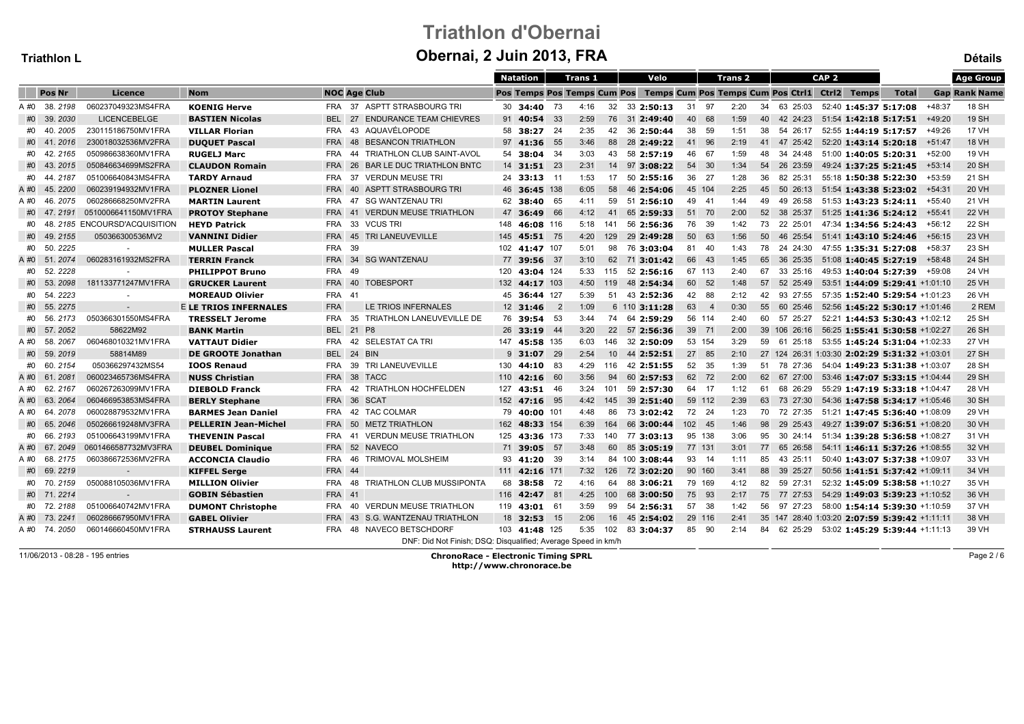# Triathlon d'ObernaiObernai, 2 Juin 2013, FRA

|      | Triathlon L   |                                 |                              | Obernal, 2 Juin 2013, FRA   |                                                               |                 |                  |                |      |                 |                                                                           |        |                |                | Détails      |                  |                                               |       |          |                      |
|------|---------------|---------------------------------|------------------------------|-----------------------------|---------------------------------------------------------------|-----------------|------------------|----------------|------|-----------------|---------------------------------------------------------------------------|--------|----------------|----------------|--------------|------------------|-----------------------------------------------|-------|----------|----------------------|
|      |               |                                 |                              |                             |                                                               | <b>Natation</b> |                  | <b>Trans 1</b> |      |                 | Velo                                                                      |        |                | <b>Trans 2</b> |              | CAP <sub>2</sub> |                                               |       |          | <b>Age Group</b>     |
|      | <b>Pos Nr</b> | Licence                         | <b>Nom</b>                   | <b>NOC Age Club</b>         |                                                               |                 |                  |                |      |                 | Pos Temps Pos Temps Cum Pos Temps Cum Pos Temps Cum Pos Ctri1 Ctri2 Temps |        |                |                |              |                  |                                               | Total |          | <b>Gap Rank Name</b> |
|      | A #0 38, 2198 | 060237049323MS4FRA              | <b>KOENIG Herve</b>          | FRA                         | 37 ASPTT STRASBOURG TRI                                       |                 | 30 34:40 73      |                | 4:16 |                 | 32 33 2:50:13                                                             |        | 31 97          | 2:20           | 34 63 25:03  |                  | 52:40 1:45:37 5:17:08                         |       | $+48:37$ | 18 SH                |
|      | #0 39.2030    | LICENCEBELGE                    | <b>BASTIEN Nicolas</b>       | 27<br><b>BEL</b>            | <b>ENDURANCE TEAM CHIEVRES</b>                                |                 | 91 40:54         | 33             | 2:59 |                 | 76 31 2:49:40                                                             | 40     | 68             | 1:59<br>40     | 42 24:23     |                  | 51:54 1:42:18 5:17:51                         |       | $+49:20$ | <b>19 SH</b>         |
|      | #0 40.2005    | 230115186750MV1FRA              | <b>VILLAR Florian</b>        | <b>FRA</b>                  | 43 AQUAVÉLOPODE                                               |                 | 58 38:27 24      |                | 2:35 | 42              | 36 2:50:44                                                                |        | 38 59          | 1:51<br>38     | 54 26:17     |                  | 52:55 1:44:19 5:17:57                         |       | +49:26   | <b>17 VH</b>         |
|      | #0 41.2016    | 230018032536MV2FRA              | <b>DUQUET Pascal</b>         | <b>FRA</b>                  | 48 BESANCON TRIATHLON                                         |                 | 97 41:36 55      |                | 3:46 |                 | 88 28 2:49:22                                                             |        | 41 96          | 2:19           | 41 47 25:42  |                  | 52:20 1:43:14 5:20:18                         |       | +51:47   | <b>18 VH</b>         |
|      | #0 42.2165    | 050986638360MV1FRA              | <b>RUGELJ Marc</b>           | <b>FRA</b>                  | 44 TRIATHLON CLUB SAINT-AVOL                                  |                 | 54 38:04 34      |                | 3:03 | 43              | 58 2:57:19                                                                |        | 46 67          | 1:59<br>48     | 34 24:48     |                  | 51:00 1:40:05 5:20:31                         |       | +52:00   | 19 VH                |
|      | #0 43.2015    | 050846634699MS2FRA              | <b>CLAUDON Romain</b>        | <b>FRA</b>                  | 26 BAR LE DUC TRIATHLON BNTC                                  |                 | 14 31:51 23      |                | 2:31 |                 | 14 97 3:08:22                                                             |        | 54 30          | 1:34<br>54     | 26 23:59     |                  | 49:24 1:37:25 5:21:45                         |       | $+53:14$ | 20 SH                |
| #0   | 44, 2187      | 051006640843MS4FRA              | <b>TARDY Arnaud</b>          | <b>FRA</b>                  | 37 VERDUN MEUSE TRI                                           |                 | 24 33:13 11      |                | 1:53 | 17              | 502:55:16                                                                 |        | 36 27          | 36<br>1:28     | 82 25:31     |                  | 55:18 1:50:38 5:22:30                         |       | $+53:59$ | 21 SH                |
|      | A #0 45.2200  | 060239194932MV1FRA              | <b>PLOZNER Lionel</b>        | <b>FRA</b>                  | 40 ASPTT STRASBOURG TRI                                       |                 | 46 36:45 138     |                | 6:05 |                 | 58 46 2:54:06                                                             |        | 45 104         | 2:25           | 45 50 26:13  |                  | 51:54 1:43:38 5:23:02                         |       | +54:31   | 20 VH                |
|      | A #0 46, 2075 | 060286668250MV2FRA              | <b>MARTIN Laurent</b>        | <b>FRA</b>                  | 47 SG WANTZENAU TRI                                           |                 | 62 38:40 65      |                | 4:11 | 59              | 51 2:56:10                                                                |        | 49 41          | 49<br>1:44     | 49 26:58     |                  | 51:53 1:43:23 5:24:11                         |       | +55:40   | 21 VH                |
|      | #0 47.2191    | 0510006641150MV1FRA             | <b>PROTOY Stephane</b>       | <b>FRA</b>                  | 41 VERDUN MEUSE TRIATHLON                                     |                 | 47 36:49         | 66             | 4:12 | 41              | 65 2:59:33                                                                |        | 51 70          | 52<br>2:00     | 38 25:37     |                  | 51:25 1:41:36 5:24:12                         |       | +55:41   | <b>22 VH</b>         |
|      |               | #0 48.2185 ENCOURSD'ACQUISITION | <b>HEYD Patrick</b>          | 33 VCUS TRI<br><b>FRA</b>   |                                                               |                 | 148 46:08 116    |                | 5:18 | 141             | 56 2:56:36                                                                |        | 76 39          | 73<br>1:42     | 22 25:01     |                  | 47:34 1:34:56 5:24:43                         |       | +56:12   | 22 SH                |
|      | #0 49.2155    | 050366300536MV2                 | <b>VANNINI Didier</b>        | <b>FRA</b>                  | 45 TRI LANEUVEVILLE                                           |                 | 145 45:51 75     |                | 4:20 | 129             | 29 2:49:28                                                                |        | 50 63          | 1:56<br>50     | 46 25:54     |                  | 51:41 1:43:10 5:24:46                         |       | +56:15   | 23 VH                |
| #0   | 50.2225       |                                 | <b>MULLER Pascal</b>         | <b>FRA</b><br>39            |                                                               |                 | 102 41:47 107    |                | 5:01 |                 | 98 76 3:03:04                                                             |        | 81 40          | 1:43           | 78 24 24:30  |                  | 47:55 1:35:31 5:27:08                         |       | +58:37   | 23 SH                |
|      | A #0 51.2074  | 060283161932MS2FRA              | <b>TERRIN Franck</b>         | FRA 34 SG WANTZENAU         |                                                               |                 | 77 39:56 37      |                | 3:10 | 62              | 71 3:01:42                                                                |        | 66 43          | 65<br>1:45     | 36 25:35     |                  | 51:08 1:40:45 5:27:19                         |       | $+58:48$ | 24 SH                |
| #0   | 52.2228       |                                 | <b>PHILIPPOT Bruno</b>       | <b>FRA</b><br>49            |                                                               |                 | 120 43:04 124    |                | 5:33 | 115             | 52 2:56:16                                                                |        | 67 113         | 2:40<br>67     | 33 25:16     |                  | 49:53 1:40:04 5:27:39                         |       | +59:08   | 24 VH                |
|      | #0 53.2098    | 181133771247MV1FRA              | <b>GRUCKER Laurent</b>       | <b>FRA</b><br>40 TOBESPORT  |                                                               |                 | 132 44:17 103    |                | 4:50 | 119             | 48 2:54:34                                                                |        | 60 52          | 57<br>1:48     | 52 25:49     |                  | 53:51 1:44:09 5:29:41 +1:01:10                |       |          | <b>25 VH</b>         |
| #0   | 54.2223       | $\sim$                          | <b>MOREAUD Olivier</b>       | <b>FRA</b><br>-41           |                                                               |                 | 45 36:44 127     |                | 5:39 | 51              | 43 2:52:36                                                                |        | 42 88          | 2:12<br>42     | 93 27:55     |                  | 57:35 1:52:40 5:29:54 +1:01:23                |       |          | 26 VH                |
|      | #0 55.2275    |                                 | <b>E LE TRIOS INFERNALES</b> | <b>FRA</b>                  | LE TRIOS INFERNALES                                           |                 | $12 \quad 31:46$ | $\overline{2}$ | 1:09 |                 | 6 110 3:11:28                                                             | 63     | $\overline{4}$ | 0:30           | 55 60 25:46  |                  | 52:56 1:45:22 5:30:17 +1:01:46                |       |          | 2 REM                |
| #0   | 56.2173       | 050366301550MS4FRA              | <b>TRESSELT Jerome</b>       | <b>FRA</b>                  | 35 TRIATHLON LANEUVEVILLE DE                                  |                 | 76 39:54 53      |                | 3:44 |                 | 74 64 2:59:29                                                             |        | 56 114         | 2:40<br>60     | 57 25:27     |                  | 52:21 1:44:53 5:30:43 +1:02:12                |       |          | 25 SH                |
|      | #0 57.2052    | 58622M92                        | <b>BANK Martin</b>           | BEL 21 P8                   |                                                               |                 | 26 33:19 44      |                | 3:20 |                 | 22 57 2:56:36                                                             |        | 39 71          | 2:00           | 39 106 26:16 |                  | 56:25 1:55:41 5:30:58 +1:02:27                |       |          | 26 SH                |
| A #0 | 58.2067       | 060468010321MV1FRA              | <b>VATTAUT Didier</b>        | <b>FRA</b>                  | 42 SELESTAT CA TRI                                            |                 | 147 45:58 135    |                | 6:03 | 146             | 32 2:50:09                                                                |        | 53 154         | 3:29<br>59     | 61<br>25:18  |                  | 53:55 1:45:24 5:31:04 +1:02:33                |       |          | 27 VH                |
|      | #0 59.2019    | 58814M89                        | DE GROOTE Jonathan           | BEL 24 BIN                  |                                                               |                 | $9\,31:07$       | 29             | 2:54 | 10 <sup>1</sup> | 44 2:52:51                                                                |        | 27 85          | 2:10           |              |                  | 27 124 26:31 1:03:30 2:02:29 5:31:32 +1:03:01 |       |          | 27 SH                |
|      | #0 60.2154    | 050366297432MS54                | <b>IOOS Renaud</b>           | FRA                         | 39 TRI LANEUVEVILLE                                           |                 | 130 44:10 83     |                | 4:29 |                 | 116 42 2:51:55                                                            |        | 52 35          | 1:39           | 51 78 27:36  |                  | 54:04 1:49:23 5:31:38 +1:03:07                |       |          | 28 SH                |
|      | A #0 61, 2081 | 060023465736MS4FRA              | <b>NUSS Christian</b>        | <b>FRA</b><br>38 TACC       |                                                               |                 | 110 42:16 60     |                | 3:56 | 94              | 60 2:57:53                                                                |        | 62 72          | 2:00<br>62     | 67 27:00     |                  | 53:46 1:47:07 5:33:15 +1:04:44                |       |          | 29 SH                |
|      | A #0 62.2167  | 060267263099MV1FRA              | <b>DIEBOLD Franck</b>        | <b>FRA</b>                  | 42 TRIATHLON HOCHFELDEN                                       |                 | 127 43:51 46     |                | 3:24 | 101             | 59 2:57:30                                                                |        | 64 17          | 1:12<br>61     | 68 26:29     |                  | 55:29 1:47:19 5:33:18 +1:04:47                |       |          | 28 VH                |
| A #0 | 63.2064       | 060466953853MS4FRA              | <b>BERLY Stephane</b>        | <b>FRA</b><br>36 SCAT       |                                                               |                 | 152 47:16 95     |                | 4:42 | 145             | 39 2:51:40                                                                |        | 59 112         | 2:39<br>63     | 73 27:30     |                  | 54:36 1:47:58 5:34:17 +1:05:46                |       |          | 30 SH                |
|      | A #0 64.2078  | 060028879532MV1FRA              | <b>BARMES Jean Daniel</b>    | 42 TAC COLMAR<br><b>FRA</b> |                                                               |                 | 79 40:00 101     |                | 4:48 | 86              | 73 3:02:42                                                                |        | 72 24          | 1:23           | 70 72 27:35  |                  | 51:21 1:47:45 5:36:40 +1:08:09                |       |          | 29 VH                |
|      | #0 65.2046    | 050266619248MV3FRA              | <b>PELLERIN Jean-Michel</b>  | <b>FRA</b>                  | 50 METZ TRIATHLON                                             |                 | 162 48:33 154    |                | 6:39 |                 | 164 66 3:00:44                                                            | 102 45 |                | 1:46<br>98     | 29 25:43     |                  | 49:27 1:39:07 5:36:51 +1:08:20                |       |          | 30 VH                |
| #0   | 66.2193       | 051006643199MV1FRA              | <b>THEVENIN Pascal</b>       | <b>FRA</b><br>-41           | <b>VERDUN MEUSE TRIATHLON</b>                                 |                 | 125 43:36 173    |                | 7:33 | 140             | 77 3:03:13                                                                |        | 95 138         | 3:06<br>95     | 30 24:14     |                  | 51:34 1:39:28 5:36:58 +1:08:27                |       |          | 31 VH                |
|      | A #0 67.2049  | 0601466587732MV3FRA             | <b>DEUBEL Dominique</b>      | 52 NAVECO<br><b>FRA</b>     |                                                               |                 | 71 39:05 57      |                | 3:48 | 60              | 85 3:05:19                                                                |        | 77 131         | 3:01           | 77 65 26:58  |                  | 54:11 1:46:11 5:37:26 +1:08:55                |       |          | 32 VH                |
|      | A #0 68.2175  | 060386672536MV2FRA              | <b>ACCONCIA Claudio</b>      | FRA                         | 46 TRIMOVAL MOLSHEIM                                          |                 | 93 41:20 39      |                | 3:14 |                 | 84 100 3:08:44                                                            |        | 93 14          | 85<br>1:11     | 43 25:11     |                  | 50:40 1:43:07 5:37:38 +1:09:07                |       |          | 33 VH                |
|      | #0 69.2219    |                                 | <b>KIFFEL Serge</b>          | <b>FRA 44</b>               |                                                               |                 | 111 42:16 171    |                | 7:32 |                 | 126 72 3:02:20                                                            |        | 90 160         | 88<br>3:41     | 39 25:27     |                  | 50:56 1:41:51 5:37:42 +1:09:11                |       |          | 34 VH                |
|      | #0 70.2159    | 050088105036MV1FRA              | <b>MILLION Olivier</b>       | <b>FRA</b>                  | 48 TRIATHLON CLUB MUSSIPONTA                                  |                 | 68 38:58 72      |                | 4:16 |                 | 64 88 3:06:21                                                             |        | 79 169         | 4:12           | 82 59 27:31  |                  | 52:32 1:45:09 5:38:58 +1:10:27                |       |          | 35 VH                |
|      | #0 71.2214    |                                 | <b>GOBIN Sébastien</b>       | <b>FRA</b> 41               |                                                               |                 | 116 42:47 81     |                | 4:25 | 100             | 68 3:00:50                                                                |        | 75 93          | 2:17<br>75     | 77 27:53     |                  | 54:29 1:49:03 5:39:23 +1:10:52                |       |          | 36 VH                |
|      | #0 72.2188    | 051006640742MV1FRA              | <b>DUMONT Christophe</b>     | FRA                         | 40 VERDUN MEUSE TRIATHLON                                     |                 | 119 43:01 61     |                | 3:59 | 99              | 54 2:56:31                                                                |        | 57 38          | 56<br>1:42     | 97 27:23     |                  | 58:00 1:54:14 5:39:30 +1:10:59                |       |          | 37 VH                |
|      | A #0 73, 2241 | 060286667950MV1FRA              | <b>GABEL Olivier</b>         | <b>FRA</b>                  | 43 S.G. WANTZENAU TRIATHLON                                   |                 | 18 32:53         | - 15           | 2:06 |                 | 16 45 2:54:02                                                             |        | 29 116         | 2:41           |              |                  | 35 147 28:40 1:03:20 2:07:59 5:39:42 +1:11:11 |       |          | 38 VH                |
|      | A #0 74.2050  | 060146660450MV1FRA              | <b>STRHAUSS Laurent</b>      | <b>FRA</b>                  | 48 NAVECO BETSCHDORF                                          |                 | 103 41:48 125    |                | 5:35 |                 | 102 83 3:04:37                                                            |        | 85 90          | 2:14           | 84 62 25:29  |                  | 53:02 1:45:29 5:39:44 +1:11:13                |       |          | 39 VH                |
|      |               |                                 |                              |                             | DNF: Did Not Finish; DSQ: Disqualified; Average Speed in km/h |                 |                  |                |      |                 |                                                                           |        |                |                |              |                  |                                               |       |          |                      |

11/06/2013 - 08:28 - 195 entries

 ChronoRace - Electronic Timing SPRLhttp://www.chronorace.be

Page 2 / 6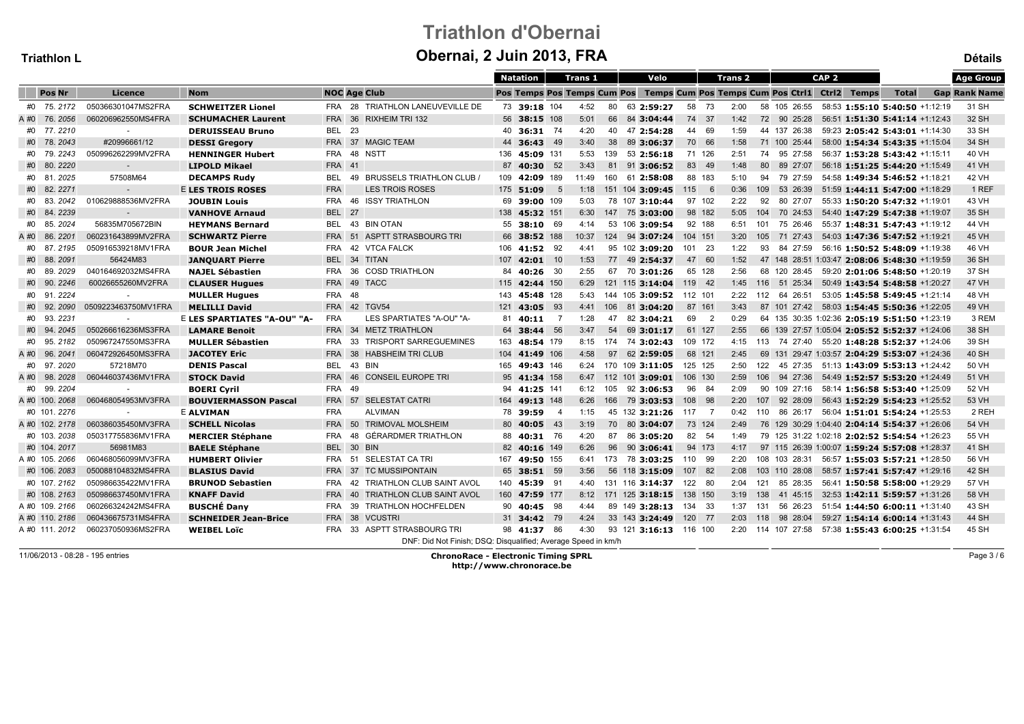# Triathlon d'ObernaiObernai, 2 Juin 2013, FRA

| Triathlon L    |                     |                             |                     | Obernal, 2 Juin 2013, FRA                                     |                 |    |                |     |                                                                           |         |                          |             |                                                   |                  |                                |              | <b>Détails</b>       |
|----------------|---------------------|-----------------------------|---------------------|---------------------------------------------------------------|-----------------|----|----------------|-----|---------------------------------------------------------------------------|---------|--------------------------|-------------|---------------------------------------------------|------------------|--------------------------------|--------------|----------------------|
|                |                     |                             |                     |                                                               | <b>Natation</b> |    | <b>Trans 1</b> |     | Velo                                                                      |         | <b>Trans 2</b>           |             |                                                   | CAP <sub>2</sub> |                                |              | <b>Age Group</b>     |
| <b>Pos Nr</b>  | Licence             | <b>Nom</b>                  | <b>NOC Age Club</b> |                                                               |                 |    |                |     | Pos Temps Pos Temps Cum Pos Temps Cum Pos Temps Cum Pos Ctri1 Ctri2 Temps |         |                          |             |                                                   |                  |                                | <b>Total</b> | <b>Gap Rank Name</b> |
| #0 75.2172     | 050366301047MS2FRA  | <b>SCHWEITZER Lionel</b>    |                     | FRA 28 TRIATHLON LANEUVEVILLE DE                              | 73 39:18 104    |    | 4:52           | 80  | 63 2:59:27                                                                | 58      | 73                       | 2:00        | 58 105 26:55                                      |                  | 58:53 1:55:10 5:40:50 +1:12:19 |              | 31 SH                |
| A #0 76.2056   | 060206962550MS4FRA  | <b>SCHUMACHER Laurent</b>   | <b>FRA</b><br>36    | <b>RIXHEIM TRI 132</b>                                        | 56 38:15 108    |    | 5:01           |     | 66 84 3:04:44                                                             |         | 74 37                    | 1:42        | 72 90 25:28                                       |                  | 56:51 1:51:30 5:41:14 +1:12:43 |              | 32 SH                |
| #0 77.2210     | $\sim$              | <b>DERUISSEAU Bruno</b>     | 23<br><b>BEL</b>    |                                                               | 40 36:31 74     |    | 4:20           | 40  | 47 2:54:28                                                                |         | 44 69                    | 1:59        | 44 137 26:38                                      |                  | 59:23 2:05:42 5:43:01 +1:14:30 |              | 33 SH                |
| #0 78.2043     | #20996661/12        | <b>DESSI Gregory</b>        |                     | FRA 37 MAGIC TEAM                                             | 44 36:43 49     |    | 3:40           |     | 38 89 3:06:37                                                             |         | 70 66                    | 1:58        | 71 100 25:44                                      |                  | 58:00 1:54:34 5:43:35 +1:15:04 |              | 34 SH                |
| #0 79.2243     | 050996262299MV2FRA  | <b>HENNINGER Hubert</b>     | <b>FRA</b>          | 48 NSTT                                                       | 136 45:09 131   |    | 5:53           | 139 | 53 2:56:18                                                                |         | 71 126<br>2:51           |             | 74 95 27:58                                       |                  | 56:37 1:53:28 5:43:42 +1:15:11 |              | 40 VH                |
| #0 80.2220     | $\sim$              | <b>LIPOLD Mikael</b>        | <b>FRA</b><br>41    |                                                               | 87 40:30 52     |    | 3:43           |     | 81 91 3:06:52                                                             |         | 83 49                    | 80<br>1:48  | 89 27:07                                          |                  | 56:18 1:51:25 5:44:20 +1:15:49 |              | 41 VH                |
| #0 81.2025     | 57508M64            | <b>DECAMPS Rudy</b>         | <b>BEL</b>          | 49 BRUSSELS TRIATHLON CLUB                                    | 109 42:09 189   |    | 11:49          | 160 | 61 2:58:08                                                                |         | 88 183                   | 5:10<br>94  | 79 27:59                                          |                  | 54:58 1:49:34 5:46:52 +1:18:21 |              | 42 VH                |
| #0 82.2271     |                     | <b>E LES TROIS ROSES</b>    | <b>FRA</b>          | <b>LES TROIS ROSES</b>                                        | 175 51:09       | 5  | 1:18           |     | 151 104 3:09:45                                                           | 115     | - 6                      | 0:36        | 109 53 26:39                                      |                  | 51:59 1:44:11 5:47:00 +1:18:29 |              | 1 REF                |
| #0 83.2042     | 010629888536MV2FRA  | <b>JOUBIN Louis</b>         | <b>FRA</b>          | <b>46 ISSY TRIATHLON</b>                                      | 69 39:00 109    |    | 5:03           |     | 78 107 3:10:44                                                            |         | 97 102                   | 2:22        | 92 80 27:07                                       |                  | 55:33 1:50:20 5:47:32 +1:19:01 |              | 43 VH                |
| #0 84.2239     |                     | <b>VANHOVE Arnaud</b>       | <b>BEL</b> 27       |                                                               | 138 45:32 151   |    | 6:30           |     | 147 75 3:03:00                                                            |         | 98 182                   | 5:05        | 104 70 24:53                                      |                  | 54:40 1:47:29 5:47:38 +1:19:07 |              | 35 SH                |
| #0 85.2024     | 56835M705672BIN     | <b>HEYMANS Bernard</b>      | <b>BEL</b><br>43    | <b>BIN OTAN</b>                                               | 55 38:10 69     |    | 4:14           |     | 53 106 3:09:54                                                            |         | 92 188                   | 6:51<br>101 | 75 26:46                                          |                  | 55:37 1:48:31 5:47:43 +1:19:12 |              | 44 VH                |
| A #0 86.2201   | 060231643899MV2FRA  | <b>SCHWARTZ Pierre</b>      | <b>FRA</b><br>51    | <b>ASPTT STRASBOURG TRI</b>                                   | 66 38:52 188    |    | 10:37          |     | 124 94 3:07:24                                                            | 104 151 |                          | 105<br>3:20 | 71 27:43                                          |                  | 54:03 1:47:36 5:47:52 +1:19:21 |              | 45 VH                |
| #0 87.2195     | 050916539218MV1FRA  | <b>BOUR Jean Michel</b>     | <b>FRA</b>          | 42 VTCA FALCK                                                 | 106 41:52 92    |    | 4:41           |     | 95 102 3:09:20                                                            | 101 23  |                          | 1:22        | 93 84 27:59                                       |                  | 56:16 1:50:52 5:48:09 +1:19:38 |              | 46 VH                |
| #0 88.2091     | 56424M83            | <b>JANQUART Pierre</b>      | <b>BEL</b>          | 34 TITAN                                                      | $107$ 42:01 10  |    | 1:53           |     | 77 49 2:54:37                                                             |         | 47 60                    | 1:52        | 47 148 28:51 1:03:47 2:08:06 5:48:30 +1:19:59     |                  |                                |              | 36 SH                |
| #0 89.2029     | 040164692032MS4FRA  | <b>NAJEL Sébastien</b>      | <b>FRA</b>          | 36 COSD TRIATHLON                                             | 84 40:26 30     |    | 2:55           |     | 67 70 3:01:26                                                             |         | 65 128                   | 2:56        | 68 120 28:45 59:20 2:01:06 5:48:50 +1:20:19       |                  |                                |              | 37 SH                |
| #0 90.<br>2246 | 60026655260MV2FRA   | <b>CLAUSER Hugues</b>       | <b>FRA</b>          | 49 TACC                                                       | 115 42:44 150   |    | 6:29           |     | 121 115 3:14:04                                                           | 119 42  |                          | 1:45        | 116 51 25:34                                      |                  | 50:49 1:43:54 5:48:58 +1:20:27 |              | 47 VH                |
| #0 91.2224     |                     | <b>MULLER Hugues</b>        | <b>FRA</b><br>48    |                                                               | 143 45:48 128   |    | 5:43           |     | 144 105 3:09:52                                                           | 112 101 |                          | 2:22<br>112 | 64 26:51                                          |                  | 53:05 1:45:58 5:49:45 +1:21:14 |              | 48 VH                |
| #0 92, 2090    | 0509223463750MV1FRA | <b>MELILLI David</b>        | <b>FRA 42 TGV54</b> |                                                               | 121 43:05 93    |    | 4:41           |     | 106 81 3:04:20                                                            |         | 87 161                   | 3:43        | 87 101 27:42 58:03 1:54:45 5:50:36 +1:22:05       |                  |                                |              | 49 VH                |
| #0 93.2231     |                     | E LES SPARTIATES "A-OU" "A- | <b>FRA</b>          | LES SPARTIATES "A-OU" "A-                                     | 81 40:11 7      |    | 1:28           | 47  | 82 3:04:21                                                                | 69      | $\overline{\phantom{a}}$ | 0:29        | 64 135 30:35 1:02:36 2:05:19 5:51:50 +1:23:19     |                  |                                |              | 3 REM                |
| #0 94.2045     | 050266616236MS3FRA  | <b>LAMARE Benoit</b>        | <b>FRA</b>          | 34 METZ TRIATHLON                                             | 64 38:44 56     |    | 3:47           |     | 54 69 3:01:17                                                             |         | 61 127                   | 2:55        | 66 139 27:57 1:05:04 2:05:52 5:52:37 +1:24:06     |                  |                                |              | 38 SH                |
| #0 95.2182     | 050967247550MS3FRA  | <b>MULLER Sébastien</b>     | 33<br><b>FRA</b>    | <b>TRISPORT SARREGUEMINES</b>                                 | 163 48:54 179   |    | 8:15           |     | 174 74 3:02:43                                                            | 109 172 |                          | 4:15        | 113 74 27:40                                      |                  | 55:20 1:48:28 5:52:37 +1:24:06 |              | 39 SH                |
| A #0 96.2041   | 060472926450MS3FRA  | <b>JACOTEY Eric</b>         | <b>FRA</b>          | 38 HABSHEIM TRI CLUB                                          | 104 41:49 106   |    | 4:58           |     | 97 62 2:59:05                                                             |         | 68 121<br>2:45           |             | 69 131 29:47 1:03:57 2:04:29 5:53:07 +1:24:36     |                  |                                |              | 40 SH                |
| #0 97.2020     | 57218M70            | <b>DENIS Pascal</b>         | <b>BEL</b>          | 43 BIN                                                        | 165 49:43 146   |    | 6:24           |     | 170 109 3:11:05                                                           | 125 125 |                          | 2:50        | 122 45 27:35 51:13 1:43:09 5:53:13 +1:24:42       |                  |                                |              | 50 VH                |
| A#0 98.2028    | 060446037436MV1FRA  | <b>STOCK David</b>          | <b>FRA</b><br>46    | <b>CONSEIL EUROPE TRI</b>                                     | 95 41:34 158    |    | 6:47           |     | 112 101 3:09:01 106 130                                                   |         |                          | 2:59        | 106 94 27:36                                      |                  | 54:49 1:52:57 5:53:20 +1:24:49 |              | 51 VH                |
| #0 99.2204     |                     | <b>BOERI Cyril</b>          | <b>FRA</b><br>49    |                                                               | 94 41:25 141    |    | 6:12           | 105 | 92 3:06:53                                                                |         | 96 84                    | 2:09        | 90 109 27:16                                      |                  | 58:14 1:56:58 5:53:40 +1:25:09 |              | 52 VH                |
| A #0 100. 2068 | 060468054953MV3FRA  | <b>BOUVIERMASSON Pascal</b> | <b>FRA</b><br>57    | <b>SELESTAT CATRI</b>                                         | 164 49:13 148   |    | 6:26           |     | 166 79 3:03:53                                                            | 108 98  |                          | 107<br>2:20 | 92 28:09                                          |                  | 56:43 1:52:29 5:54:23 +1:25:52 |              | 53 VH                |
| #0 101.2276    |                     | <b>E ALVIMAN</b>            | <b>FRA</b>          | <b>ALVIMAN</b>                                                | 78 39:59        | -4 | 1:15           |     | 45 132 3:21:26                                                            | 117 7   |                          | 0:42        | 110 86 26:17                                      |                  | 56:04 1:51:01 5:54:24 +1:25:53 |              | 2 REH                |
| A #0 102. 2178 | 060386035450MV3FRA  | <b>SCHELL Nicolas</b>       | <b>FRA</b>          | 50 TRIMOVAL MOLSHEIM                                          | 80 40:05 43     |    | 3:19           |     | 70 80 3:04:07                                                             |         | 73 124                   | 2:49        | 76 129 30:29 1:04:40 2:04:14 5:54:37 +1:26:06     |                  |                                |              | 54 VH                |
| #0 103.2038    | 050317755836MV1FRA  | <b>MERCIER Stéphane</b>     | <b>FRA</b><br>48    | GÉRARDMER TRIATHLON                                           | 88 40:31 76     |    | 4:20           | 87  | 86 3:05:20                                                                |         | 82 54                    | 1:49        | 79 125 31:22 1:02:18 2:02:52 5:54:54 +1:26:23     |                  |                                |              | 55 VH                |
| #0 104.2017    | 56981M83            | <b>BAELE Stéphane</b>       | <b>BEL</b>          | 30 BIN                                                        | 82 40:16 149    |    | 6:26           |     | 96 90 3:06:41                                                             |         | 94 173                   | 4:17        | 97 115 26:39 1:00:07 1:59:24 5:57:08 +1:28:37     |                  |                                |              | 41 SH                |
| A #0 105.2066  | 060468056099MV3FRA  | <b>HUMBERT Olivier</b>      | <b>FRA</b><br>51    | SELESTAT CA TRI                                               | 167 49:50 155   |    | 6:41           |     | 173 78 3:03:25                                                            | 110 99  |                          | 2:20        | 108 103 28:31                                     |                  | 56:57 1:55:03 5:57:21 +1:28:50 |              | 56 VH                |
| #0 106.2083    | 050088104832MS4FRA  | <b>BLASIUS David</b>        | <b>FRA</b>          | 37 TC MUSSIPONTAIN                                            | 65 38:51 59     |    | 3:56           |     | 56 118 3:15:09                                                            | 107 82  |                          | 2:08        | 103 110 28:08                                     |                  | 58:57 1:57:41 5:57:47 +1:29:16 |              | 42 SH                |
| #0 107, 2162   | 050986635422MV1FRA  | <b>BRUNOD Sebastien</b>     | <b>FRA</b>          | 42 TRIATHLON CLUB SAINT AVOL                                  | 140 45:39 91    |    | 4:40           |     | 131 116 3:14:37                                                           | 122 80  |                          |             | 2:04 121 85 28:35                                 |                  | 56:41 1:50:58 5:58:00 +1:29:29 |              | 57 VH                |
| #0 108.2163    | 050986637450MV1FRA  | <b>KNAFF David</b>          | <b>FRA</b><br>40    | TRIATHLON CLUB SAINT AVOL                                     | 160 47:59 177   |    | 8:12           |     | 171 125 3:18:15                                                           | 138 150 |                          | 138<br>3:19 | 41 45:15                                          |                  | 32:53 1:42:11 5:59:57 +1:31:26 |              | 58 VH                |
| A #0 109, 2166 | 060266324242MS4FRA  | <b>BUSCHÉ Dany</b>          | 39<br><b>FRA</b>    | <b>TRIATHLON HOCHFELDEN</b>                                   | 90 40:45 98     |    | 4:44           |     | 89 149 3:28:13                                                            | 134 33  |                          | 1:37<br>131 | 56 26:23                                          |                  | 51:54 1:44:50 6:00:11 +1:31:40 |              | 43 SH                |
| A #0 110.2186  | 060436675731MS4FRA  | <b>SCHNEIDER Jean-Brice</b> | <b>FRA</b><br>38    | <b>VCUSTRI</b>                                                | 31 34:42 79     |    | 4:24           |     | 33 143 3:24:49                                                            | 120 77  |                          | 2:03<br>118 | 98 28:04                                          |                  | 59:27 1:54:14 6:00:14 +1:31:43 |              | 44 SH                |
| A #0 111.2012  | 060237050936MS2FRA  | <b>WEIBEL Loïc</b>          | <b>FRA</b>          | 33 ASPTT STRASBOURG TRI                                       | 98 41:37 86     |    | 4:30           |     | 93 121 3:16:13 116 100                                                    |         |                          |             | 2:20 114 107 27:58 57:38 1:55:43 6:00:25 +1:31:54 |                  |                                |              | 45 SH                |
|                |                     |                             |                     | DNF: Did Not Finish; DSQ: Disqualified; Average Speed in km/h |                 |    |                |     |                                                                           |         |                          |             |                                                   |                  |                                |              |                      |

11/06/2013 - 08:28 - 195 entries

 ChronoRace - Electronic Timing SPRLhttp://www.chronorace.be

Page 3 / 6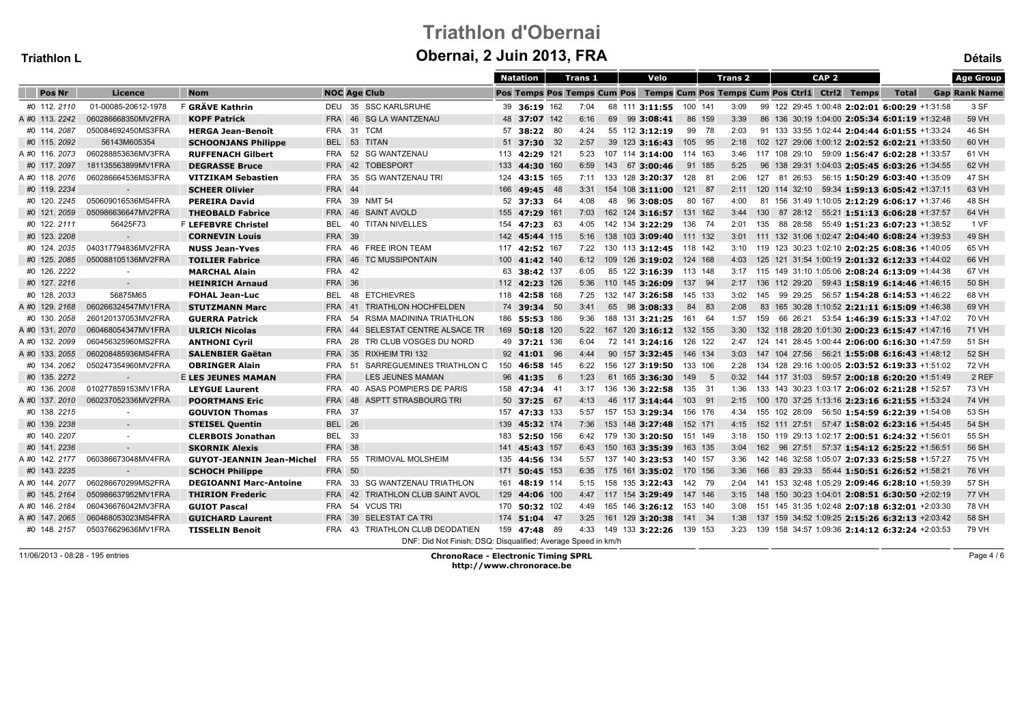# Triathlon d'ObernaiObernai, 2 Juin 2013, FRA

| <b>Triathlon L</b> |                     |                                  |               | Obernal, 2 Juin 2013, FRA                                     |               |   |                |  |                         |         |                                                                           |             |  |                  |                                                            | <b>Détails</b>       |
|--------------------|---------------------|----------------------------------|---------------|---------------------------------------------------------------|---------------|---|----------------|--|-------------------------|---------|---------------------------------------------------------------------------|-------------|--|------------------|------------------------------------------------------------|----------------------|
|                    |                     |                                  |               |                                                               | Natation      |   | <b>Trans 1</b> |  | Velo                    |         | <b>Trans 2</b>                                                            |             |  | CAP <sub>2</sub> |                                                            | <b>Age Group</b>     |
| Pos Nr             | Licence             | <b>Nom</b>                       |               | <b>NOC Age Club</b>                                           |               |   |                |  |                         |         | Pos Temps Pos Temps Cum Pos Temps Cum Pos Temps Cum Pos Ctril Ctri2 Temps |             |  |                  | <b>Total</b>                                               | <b>Gap Rank Name</b> |
| #0 112.2110        | 01-00085-20612-1978 | F GRÄVE Kathrin                  | DEU           | 35 SSC KARLSRUHE                                              | 39 36:19 162  |   | 7:04           |  | 68 111 3:11:55 100 141  |         | 3:09                                                                      |             |  |                  | 99 122 29:45 1:00:48 2:02:01 6:00:29 +1:31:58              | 3 SF                 |
| A #0 113. 2242     | 060286668350MV2FRA  | <b>KOPF Patrick</b>              | <b>FRA</b>    | 46 SG LA WANTZENAU                                            | 48 37:07 142  |   | 6:16           |  | 69 99 3:08:41           |         | 86 159<br>3:39                                                            |             |  |                  | 86 136 30:19 1:04:00 2:05:34 6:01:19 +1:32:48              | 59 VH                |
| #0 114.2087        | 050084692450MS3FRA  | <b>HERGA Jean-Benoît</b>         | <b>FRA</b>    | 31 TCM                                                        | 57 38:22 80   |   | 4:24           |  | 55 112 3:12:19          | 99 78   | 2:03                                                                      |             |  |                  | 91 133 33:55 1:02:44 2:04:44 6:01:55 +1:33:24              | 46 SH                |
| #0 115.2092        | 56143M605354        | <b>SCHOONJANS Philippe</b>       |               | BEL 53 TITAN                                                  | 51 37:30 32   |   | 2:57           |  | 39 123 3:16:43          | 105 95  |                                                                           |             |  |                  | 2:18  102  127  29:06  1:00:12  2:02:52  6:02:21  +1:33:50 | 60 VH                |
| A #0 116.2073      | 060288853636MV3FRA  | <b>RUFFENACH Gilbert</b>         | FRA           | 52 SG WANTZENAU                                               | 113 42:29 121 |   | 5:23           |  | 107 114 3:14:00 114 163 |         |                                                                           |             |  |                  | 3:46 117 108 29:10 59:09 1:56:47 6:02:28 +1:33:57          | 61 VH                |
| #0 117.2097        | 181135563899MV1FRA  | <b>DEGRASSE Bruce</b>            | <b>FRA</b>    | 42 TOBESPORT                                                  | 133 44:30 160 |   | 6:59           |  | 143 67 3:00:46          | 91 185  | 5:25                                                                      |             |  |                  | 96 138 29:31 1:04:03 2:05:45 6:03:26 +1:34:55              | 62 VH                |
| A #0 118, 2076     | 060286664536MS3FRA  | <b>VITZIKAM Sebastien</b>        | <b>FRA</b>    | 35 SG WANTZENAU TRI                                           | 124 43:15 165 |   | 7:11           |  | 133 128 3:20:37         | 128 81  | 2:06                                                                      | 127         |  |                  | 81 26:53 56:15 1:50:29 6:03:40 +1:35:09                    | 47 SH                |
| #0 119.2234        |                     | <b>SCHEER Olivier</b>            | <b>FRA</b> 44 |                                                               | 166 49:45 48  |   | 3:31           |  | 154 108 3:11:00         | 121 87  |                                                                           |             |  |                  | 2:11 120 114 32:10 59:34 1:59:13 6:05:42 +1:37:11          | 63 VH                |
| #0 120.2245        | 050609016536MS4FRA  | <b>PEREIRA David</b>             |               | FRA 39 NMT 54                                                 | 52 37:33 64   |   | 4:08           |  | 48 96 3:08:05           | 80 167  | 4:00                                                                      |             |  |                  | 81 156 31:49 1:10:05 2:12:29 6:06:17 +1:37:46              | 48 SH                |
| #0 121.2059        | 050986636647MV2FRA  | <b>THEOBALD Fabrice</b>          | <b>FRA</b>    | 46 SAINT AVOLD                                                | 155 47:29 161 |   | 7:03           |  | 162 124 3:16:57         | 131 162 |                                                                           | 130<br>3:44 |  |                  | 87 28:12 55:21 1:51:13 6:06:28 +1:37:57                    | 64 VH                |
| #0 122.2111        | 56425F73            | F LEFEBVRE Christel              | <b>BEL</b>    | 40 TITAN NIVELLES                                             | 154 47:23 63  |   | 4:05           |  | 142 134 3:22:29         | 136 74  | 2:01                                                                      |             |  |                  | 135 88 28:58 55:49 1:51:23 6:07:23 +1:38:52                | 1 VF                 |
| #0 123.2208        | $\sim$              | <b>CORNEVIN Louis</b>            | <b>FRA 39</b> |                                                               | 142 45:44 115 |   | 5:16           |  | 138 103 3:09:40         | 111 132 |                                                                           |             |  |                  | 3:01 111 132 31:06 1:02:47 2:04:40 6:08:24 +1:39:53        | 49 SH                |
| #0 124.2035        | 040317794836MV2FRA  | <b>NUSS Jean-Yves</b>            |               | FRA 46 FREE IRON TEAM                                         | 117 42:52 167 |   | 7:22           |  | 130 113 3:12:45         | 118 142 |                                                                           |             |  |                  | 3:10 119 123 30:23 1:02:10 2:02:25 6:08:36 +1:40:05        | 65 VH                |
| #0 125.2085        | 050088105136MV2FRA  | <b>TOILIER Fabrice</b>           |               | FRA 46 TC MUSSIPONTAIN                                        | 100 41:42 140 |   | 6:12           |  | 109 126 3:19:02 124 168 |         |                                                                           |             |  |                  | 4:03 125 121 31:54 1:00:19 2:01:32 6:12:33 +1:44:02        | 66 VH                |
| #0 126.2222        | $\sim$              | <b>MARCHAL Alain</b>             | <b>FRA</b>    | 42                                                            | 63 38:42 137  |   | 6:05           |  | 85 122 3:16:39 113 148  |         |                                                                           |             |  |                  | 3:17 115 149 31:10 1:05:06 2:08:24 6:13:09 +1:44:38        | 67 VH                |
| #0 127.2216        | $\sim$              | <b>HEINRICH Arnaud</b>           | <b>FRA 36</b> |                                                               | 112 42:23 126 |   | 5:36           |  | 110 145 3:26:09         | 137 94  |                                                                           |             |  |                  | 2:17 136 112 29:20 59:43 1:58:19 6:14:46 +1:46:15          | 50 SH                |
| #0 128, 2033       | 56875M65            | <b>FOHAL Jean-Luc</b>            | BEL           | 48 ETCHIEVRES                                                 | 118 42:58 168 |   | 7:25           |  | 132 147 3:26:58         | 145 133 |                                                                           | 3:02<br>145 |  |                  | 99 29:25 56:57 1:54:28 6:14:53 +1:46:22                    | 68 VH                |
| A #0 129.2168      | 060266324547MV1FRA  | <b>STUTZMANN Marc</b>            | <b>FRA</b>    | <b>TRIATHLON HOCHFELDEN</b><br>41                             | 74 39:34 50   |   | 3:41           |  | 65 98 3:08:33           | 84 83   | 2:08                                                                      |             |  |                  | 83 165 30:28 1:10:52 2:21:11 6:15:09 +1:46:38              | 69 VH                |
| #0 130.2058        | 260120137053MV2FRA  | <b>GUERRA Patrick</b>            | FRA           | 54<br>RSMA MADININA TRIATHLON                                 | 186 55:53 186 |   | 9:36           |  | 188 131 3:21:25         | 161 64  |                                                                           | 1:57<br>159 |  |                  | 66 26:21 53:54 1:46:39 6:15:33 +1:47:02                    | 70 VH                |
| A #0 131.2070      | 060468054347MV1FRA  | <b>ULRICH Nicolas</b>            | <b>FRA</b>    | SELESTAT CENTRE ALSACE TR<br>44                               | 169 50:18 120 |   | 5:22           |  | 167 120 3:16:12 132 155 |         |                                                                           |             |  |                  | 3:30 132 118 28:20 1:01:30 2:00:23 6:15:47 +1:47:16        | 71 VH                |
| A #0 132.2099      | 060456325960MS2FRA  | <b>ANTHONI Cyril</b>             | <b>FRA</b>    | 28<br>TRI CLUB VOSGES DU NORD                                 | 49 37:21 136  |   | 6:04           |  | 72 141 3:24:16          | 126 122 |                                                                           |             |  |                  | 2:47 124 141 28:45 1:00:44 2:06:00 6:16:30 +1:47:59        | 51 SH                |
| A #0 133. 2055     | 060208485936MS4FRA  | <b>SALENBIER Gaëtan</b>          | <b>FRA</b>    | 35 RIXHEIM TRI 132                                            | 92 41:01 96   |   | 4:44           |  | 90 157 3:32:45          | 146 134 | 3:03                                                                      |             |  |                  | 147 104 27:56 56:21 1:55:08 6:16:43 +1:48:12               | 52 SH                |
| #0 134.2062        | 050247354960MV2FRA  | <b>OBRINGER Alain</b>            | FRA           | 51 SARREGUEMINES TRIATHLON C                                  | 150 46:58 145 |   | 6:22           |  | 156 127 3:19:50 133 106 |         |                                                                           |             |  |                  | 2:28 134 128 29:16 1:00:05 2:03:52 6:19:33 +1:51:02        | 72 VH                |
| #0 135.2272        | $\sim$              | <b>E LES JEUNES MAMAN</b>        | <b>FRA</b>    | LES JEUNES MAMAN                                              | 96 41:35      | 6 | 1:23           |  | 61 165 3:36:30          | 149 5   |                                                                           |             |  |                  | 0:32 144 117 31:03 59:57 2:00:18 6:20:20 +1:51:49          | 2 REF                |
| #0 136.2008        | 010277859153MV1FRA  | <b>LEYGUE Laurent</b>            | <b>FRA</b>    | 40 ASAS POMPIERS DE PARIS                                     | 158 47:34 41  |   | 3:17           |  | 136 136 3:22:58         | 135 31  | 1:36                                                                      |             |  |                  | 133 143 30:23 1:03:17 2:06:02 6:21:28 +1:52:57             | 73 VH                |
| A #0 137.2010      | 060237052336MV2FRA  | <b>POORTMANS Eric</b>            | <b>FRA</b>    | 48 ASPTT STRASBOURG TRI                                       | 50 37:25 67   |   | 4:13           |  | 46 117 3:14:44          | 103 91  |                                                                           | 2:15        |  |                  | 100 170 37:25 1:13:16 2:23:16 6:21:55 +1:53:24             | 74 VH                |
| #0 138.2215        | $\sim$              | <b>GOUVION Thomas</b>            | FRA 37        |                                                               | 157 47:33 133 |   | 5:57           |  | 157 153 3:29:34         | 156 176 |                                                                           | 4:34        |  |                  | 155 102 28:09 56:50 1:54:59 6:22:39 +1:54:08               | 53 SH                |
| #0 139.2238        |                     | <b>STEISEL Quentin</b>           | <b>BEL 26</b> |                                                               | 139 45:32 174 |   | 7:36           |  | 153 148 3:27:48         | 152 171 |                                                                           |             |  |                  | 4:15  152  111  27:51  57:47  1:58:02  6:23:16  +1:54:45   | 54 SH                |
| #0 140.2207        | $\sim$              | <b>CLERBOIS Jonathan</b>         | <b>BEL</b>    | 33                                                            | 183 52:50 156 |   | 6:42           |  | 179 130 3:20:50         | 151 149 |                                                                           |             |  |                  | 3:18 150 119 29:13 1:02:17 2:00:51 6:24:32 +1:56:01        | 55 SH                |
| #0 141.2236        | $\sim$              | <b>SKORNIK Alexis</b>            | <b>FRA 38</b> |                                                               | 141 45:43 157 |   | 6:43           |  | 150 163 3:35:39         | 163 135 | 3:04                                                                      |             |  |                  | 162 96 27:51 57:37 1:54:12 6:25:22 +1:56:51                | 56 SH                |
| A #0 142.2177      | 060386673048MV4FRA  | <b>GUYOT-JEANNIN Jean-Michel</b> | FRA           | TRIMOVAL MOLSHEIM<br>55                                       | 135 44:56 134 |   | 5:57           |  | 137 140 3:23:53         | 140 157 | 3:36                                                                      |             |  |                  | 142 146 32:58 1:05:07 2:07:33 6:25:58 +1:57:27             | 75 VH                |
| #0 143.2235        | $\sim$              | <b>SCHOCH Philippe</b>           | <b>FRA 50</b> |                                                               | 171 50:45 153 |   | 6:35           |  | 175 161 3:35:02         | 170 156 | 3:36                                                                      |             |  |                  | 166 83 29:33 55:44 1:50:51 6:26:52 +1:58:21                | 76 VH                |
| A #0 144.2077      | 060286670299MS2FRA  | <b>DEGIOANNI Marc-Antoine</b>    |               | FRA 33 SG WANTZENAU TRIATHLON                                 | 161 48:19 114 |   | 5:15           |  | 158 135 3:22:43 142 79  |         |                                                                           |             |  |                  | 2:04 141 153 32:48 1:05:29 2:09:46 6:28:10 +1:59:39        | 57 SH                |
| #0 145.2164        | 050986637952MV1FRA  | <b>THIRION Frederic</b>          | <b>FRA</b>    | 42 TRIATHLON CLUB SAINT AVOL                                  | 129 44:06 100 |   |                |  | 4:47 117 154 3:29:49    | 147 146 |                                                                           |             |  |                  | 3:15 148 150 30:23 1:04:01 2:08:51 6:30:50 +2:02:19        | 77 VH                |
| A #0 146, 2184     | 060436676042MV3FRA  | <b>GUIOT Pascal</b>              | <b>FRA</b>    | 54 VCUS TRI                                                   | 170 50:32 102 |   | 4:49           |  | 165 146 3:26:12         | 153 140 | 3:08                                                                      |             |  |                  | 151 145 31:35 1:02:48 2:07:18 6:32:01 +2:03:30             | 78 VH                |
| A #0 147.2065      | 060468053023MS4FRA  | <b>GUICHARD Laurent</b>          | <b>FRA</b>    | 39 SELESTAT CA TRI                                            | 174 51:04 47  |   | 3:25           |  | 161 129 3:20:38         | 141 34  | 1:38                                                                      |             |  |                  | 137 159 34:52 1:09:25 2:15:26 6:32:13 +2:03:42             | 58 SH                |
| #0 148.2157        | 050376629636MV1FRA  | <b>TISSELIN Benoit</b>           | FRA           | 43 TRIATHLON CLUB DEODATIEN                                   | 159 47:48 89  |   | 4:33           |  | 149 133 3:22:26         | 139 153 |                                                                           |             |  |                  | 3:23 139 158 34:57 1:09:36 2:14:12 6:32:24 +2:03:53        | 79 VH                |
|                    |                     |                                  |               | DNF: Did Not Finish; DSQ: Disqualified; Average Speed in km/h |               |   |                |  |                         |         |                                                                           |             |  |                  |                                                            |                      |

11/06/2013 - 08:28 - 195 entries

 ChronoRace - Electronic Timing SPRLhttp://www.chronorace.be

Page 4 / 6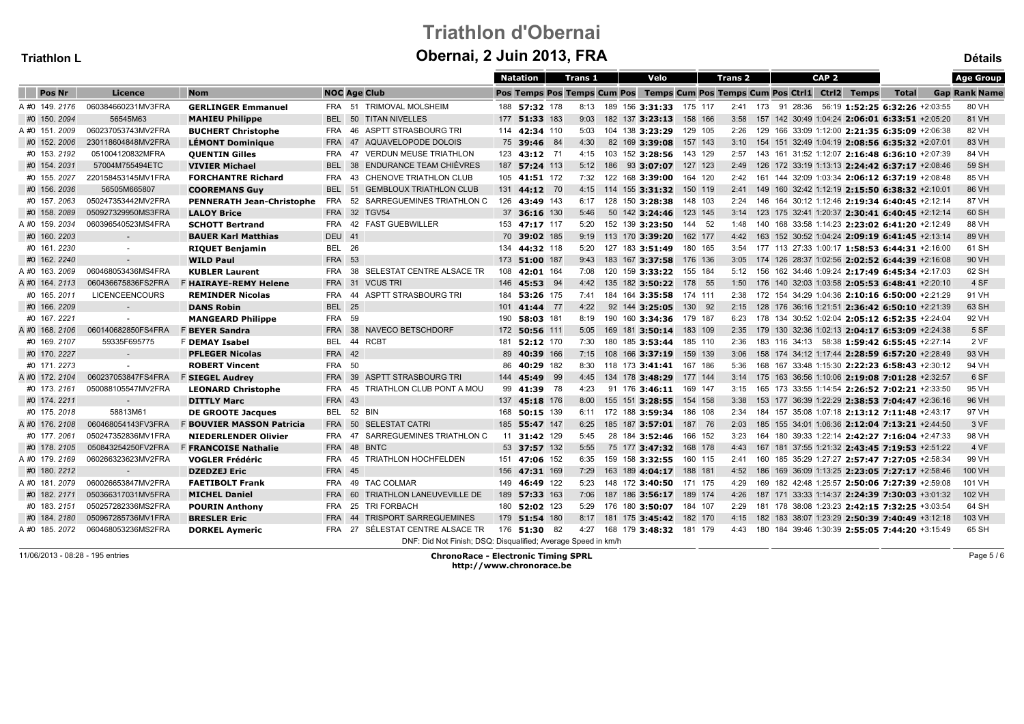# Triathlon d'ObernaiObernai, 2 Juin 2013, FRA

| I<br>п |
|--------|
|--------|

| Triathlon L    |                       |                                  |               | Obernal, 2 Juin 2013, FRA                                     |               |                |                 |                              |         |                                                                           |  |                  |                                                     |              | <b>Détails</b>       |
|----------------|-----------------------|----------------------------------|---------------|---------------------------------------------------------------|---------------|----------------|-----------------|------------------------------|---------|---------------------------------------------------------------------------|--|------------------|-----------------------------------------------------|--------------|----------------------|
|                |                       |                                  |               |                                                               | Natation      | <b>Trans 1</b> |                 | Velo                         |         | <b>Trans 2</b>                                                            |  | CAP <sub>2</sub> |                                                     |              | <b>Age Group</b>     |
| <b>Pos Nr</b>  | Licence               | <b>Nom</b>                       |               | <b>NOC Age Club</b>                                           |               |                |                 |                              |         | Pos Temps Pos Temps Cum Pos Temps Cum Pos Temps Cum Pos Ctri1 Ctri2 Temps |  |                  |                                                     | <b>Total</b> | <b>Gap Rank Name</b> |
| A #0 149.2176  | 060384660231MV3FRA    | <b>GERLINGER Emmanuel</b>        |               | FRA 51 TRIMOVAL MOLSHEIM                                      | 188 57:32 178 |                |                 | 8:13 189 156 3:31:33 175 117 |         |                                                                           |  |                  | 2:41 173 91 28:36 56:19 1:52:25 6:32:26 +2:03:55    |              | 80 VH                |
| #0 150.2094    | 56545M63              | <b>MAHIEU Philippe</b>           | <b>BEL</b>    | 50 TITAN NIVELLES                                             | 177 51:33 183 | 9:03           | 182 137 3:23:13 |                              | 158 166 | 3:58                                                                      |  |                  | 157 142 30:49 1:04:24 2:06:01 6:33:51 +2:05:20      |              | 81 VH                |
| A #0 151.2009  | 060237053743MV2FRA    | <b>BUCHERT Christophe</b>        | FRA           | 46 ASPTT STRASBOURG TRI                                       | 114 42:34 110 | 5:03           | 104 138 3:23:29 |                              | 129 105 | 2:26                                                                      |  |                  | 129 166 33:09 1:12:00 2:21:35 6:35:09 +2:06:38      |              | 82 VH                |
| #0 152.2006    | 230118604848MV2FRA    | <b>LÉMONT Dominique</b>          | <b>FRA</b>    | 47 AQUAVELOPODE DOLOIS                                        | 75 39:46 84   | 4:30           | 82 169 3:39:08  |                              | 157 143 |                                                                           |  |                  | 3:10 154 151 32:49 1:04:19 2:08:56 6:35:32 +2:07:01 |              | 83 VH                |
| #0 153.2192    | 051004120832MFRA      | <b>QUENTIN Gilles</b>            | FRA           | 47 VERDUN MEUSE TRIATHLON                                     | 123 43:12 71  | 4:15           |                 | 103 152 3:28:56 143 129      |         |                                                                           |  |                  | 2:57 143 161 31:52 1:12:07 2:16:48 6:36:10 +2:07:39 |              | 84 VH                |
| #0 154.2031    | 57004M755494ETC       | <b>VIVIER Michael</b>            | <b>BEL</b>    | 38 ENDURANCE TEAM CHIÈVRES                                    | 187 57:24 113 | 5:12           | 186 93 3:07:07  |                              | 127 123 | 2:49                                                                      |  |                  | 126 172 33:19 1:13:13 2:24:42 6:37:17 +2:08:46      |              | 59 SH                |
| #0 155.2027    | 220158453145MV1FRA    | <b>FORCHANTRE Richard</b>        | <b>FRA</b>    | 43 CHENOVE TRIATHLON CLUB                                     | 105 41:51 172 | 7:32           | 122 168 3:39:00 |                              | 164 120 | 2:42                                                                      |  |                  | 161 144 32:09 1:03:34 2:06:12 6:37:19 +2:08:48      |              | 85 VH                |
| #0 156.2036    | 56505M665807          | <b>COOREMANS Guy</b>             |               | BEL 51 GEMBLOUX TRIATHLON CLUB                                | 131 44:12 70  | 4:15           |                 | 114 155 3:31:32 150 119      |         | 2:41                                                                      |  |                  | 149 160 32:42 1:12:19 2:15:50 6:38:32 +2:10:01      |              | 86 VH                |
| #0 157.2063    | 050247353442MV2FRA    | <b>PENNERATH Jean-Christophe</b> | FRA           | 52 SARREGUEMINES TRIATHLON C                                  | 126 43:49 143 | 6:17           | 128 150 3:28:38 |                              | 148 103 |                                                                           |  |                  | 2:24 146 164 30:12 1:12:46 2:19:34 6:40:45 +2:12:14 |              | 87 VH                |
| #0 158.2089    | 050927329950MS3FRA    | <b>LALOY Brice</b>               |               | FRA 32 TGV54                                                  | 37 36:16 130  | 5:46           | 50 142 3:24:46  |                              | 123 145 |                                                                           |  |                  | 3:14 123 175 32:41 1:20:37 2:30:41 6:40:45 +2:12:14 |              | 60 SH                |
| A #0 159. 2034 | 060396540523MS4FRA    | <b>SCHOTT Bertrand</b>           | <b>FRA</b>    | 42 FAST GUEBWILLER                                            | 153 47:17 117 | 5:20           | 152 139 3:23:50 |                              | 144 52  | 1:48                                                                      |  |                  | 140 168 33:58 1:14:23 2:23:02 6:41:20 +2:12:49      |              | 88 VH                |
| #0 160.2203    | $\sim$                | <b>BAUER Karl Matthias</b>       | <b>DEU</b> 41 |                                                               | 70 39:02 185  | 9:19           | 113 170 3:39:20 |                              | 162 177 | 4:42                                                                      |  |                  | 163 152 30:52 1:04:24 2:09:19 6:41:45 +2:13:14      |              | 89 VH                |
| #0 161.2230    | $\sim$                | <b>RIQUET Benjamin</b>           | <b>BEL 26</b> |                                                               | 134 44:32 118 | 5:20           | 127 183 3:51:49 |                              | 180 165 |                                                                           |  |                  | 3:54 177 113 27:33 1:00:17 1:58:53 6:44:31 +2:16:00 |              | 61 SH                |
| #0 162.2240    | $\sim$                | <b>WILD Paul</b>                 | <b>FRA 53</b> |                                                               | 173 51:00 187 | 9:43           | 183 167 3:37:58 |                              | 176 136 |                                                                           |  |                  | 3:05 174 126 28:37 1:02:56 2:02:52 6:44:39 +2:16:08 |              | 90 VH                |
| A #0 163.2069  | 060468053436MS4FRA    | <b>KUBLER Laurent</b>            | FRA           | 38 SELESTAT CENTRE ALSACE TR                                  | 108 42:01 164 | 7:08           |                 | 120 159 3:33:22 155 184      |         |                                                                           |  |                  | 5:12 156 162 34:46 1:09:24 2:17:49 6:45:34 +2:17:03 |              | 62 SH                |
| A #0 164, 2113 | 060436675836FS2FRA    | <b>F HAIRAYE-REMY Helene</b>     | <b>FRA</b>    | 31 VCUS TRI                                                   | 146 45:53 94  | 4:42           |                 | 135 182 3:50:22 178 55       |         | 1:50                                                                      |  |                  | 176 140 32:03 1:03:58 2:05:53 6:48:41 +2:20:10      |              | 4 SF                 |
| #0 165, 2011   | <b>LICENCEENCOURS</b> | <b>REMINDER Nicolas</b>          | <b>FRA</b>    | ASPTT STRASBOURG TRI<br>44                                    | 184 53:26 175 | 7:41           | 184 164 3:35:58 |                              | 174 111 | 2:38                                                                      |  |                  | 172 154 34:29 1:04:36 2:10:16 6:50:00 +2:21:29      |              | 91 VH                |
| #0 166.2209    | $\sim$                | <b>DANS Robin</b>                | <b>BEL</b> 25 |                                                               | 101 41:44 77  | 4:22           | 92 144 3:25:05  |                              | 130 92  |                                                                           |  |                  | 2:15 128 176 36:16 1:21:51 2:36:42 6:50:10 +2:21:39 |              | 63 SH                |
| #0 167.2221    |                       | <b>MANGEARD Philippe</b>         | <b>FRA 59</b> |                                                               | 190 58:03 181 | 8:19           |                 | 190 160 3:34:36 179 187      |         |                                                                           |  |                  | 6:23 178 134 30:52 1:02:04 2:05:12 6:52:35 +2:24:04 |              | 92 VH                |
| A #0 168. 2106 | 060140682850FS4FRA    | <b>F BEYER Sandra</b>            | <b>FRA</b>    | 38 NAVECO BETSCHDORF                                          | 172 50:56 111 | 5:05           |                 | 169 181 3:50:14 183 109      |         |                                                                           |  |                  | 2:35 179 130 32:36 1:02:13 2:04:17 6:53:09 +2:24:38 |              | 5 SF                 |
| #0 169.2107    | 59335F695775          | <b>F DEMAY Isabel</b>            | <b>BEL</b>    | 44 RCBT                                                       | 181 52:12 170 | 7:30           |                 | 180 185 3:53:44              | 185 110 | 2:36                                                                      |  |                  | 183 116 34:13 58:38 1:59:42 6:55:45 +2:27:14        |              | 2 VF                 |
| #0 170.2227    |                       | <b>PFLEGER Nicolas</b>           | <b>FRA 42</b> |                                                               | 89 40:39 166  | 7:15           | 108 166 3:37:19 |                              | 159 139 | 3:06                                                                      |  |                  | 158 174 34:12 1:17:44 2:28:59 6:57:20 +2:28:49      |              | 93 VH                |
| #0 171.2273    |                       | <b>ROBERT Vincent</b>            | FRA 50        |                                                               | 86 40:29 182  | 8:30           |                 | 118 173 3:41:41 167 186      |         | 5:36                                                                      |  |                  | 168 167 33:48 1:15:30 2:22:23 6:58:43 +2:30:12      |              | 94 VH                |
| A #0 172. 2104 | 060237053847FS4FRA    | <b>F SIEGEL Audrey</b>           | <b>FRA</b>    | 39 ASPTT STRASBOURG TRI                                       | 144 45:49 99  | 4:45           |                 | 134 178 3:48:29 177 144      |         |                                                                           |  |                  | 3:14 175 163 36:56 1:10:06 2:19:08 7:01:28 +2:32:57 |              | 6 SF                 |
| #0 173.2161    | 050088105547MV2FRA    | <b>LEONARD Christophe</b>        | <b>FRA</b>    | 45 TRIATHLON CLUB PONT A MOU                                  | 99 41:39 78   | 4:23           |                 | 91 176 3:46:11 169 147       |         | 3:15                                                                      |  |                  | 165 173 33:55 1:14:54 2:26:52 7:02:21 +2:33:50      |              | 95 VH                |
| #0 174.2211    |                       | <b>DITTLY Marc</b>               | <b>FRA 43</b> |                                                               | 137 45:18 176 | 8:00           | 155 151 3:28:55 |                              | 154 158 | 3:38                                                                      |  |                  | 153 177 36:39 1:22:29 2:38:53 7:04:47 +2:36:16      |              | 96 VH                |
| #0 175.2018    | 58813M61              | <b>DE GROOTE Jacques</b>         | BEL           | 52 BIN                                                        | 168 50:15 139 | 6:11           |                 | 172 188 3:59:34 186 108      |         |                                                                           |  |                  | 2:34 184 157 35:08 1:07:18 2:13:12 7:11:48 +2:43:17 |              | 97 VH                |
| A #0 176.2108  | 060468054143FV3FRA    | <b>F BOUVIER MASSON Patricia</b> | <b>FRA</b>    | 50 SELESTAT CATRI                                             | 185 55:47 147 | 6:25           |                 | 185 187 3:57:01 187 76       |         | 2:03                                                                      |  |                  | 185 155 34:01 1:06:36 2:12:04 7:13:21 +2:44:50      |              | 3 VF                 |
| #0 177, 2061   | 050247352836MV1FRA    | <b>NIEDERLENDER Olivier</b>      | <b>FRA</b>    | SARREGUEMINES TRIATHLON C<br>47                               | 11 31:42 129  | 5:45           | 28 184 3:52:46  |                              | 166 152 | 3:23                                                                      |  |                  | 164 180 39:33 1:22:14 2:42:27 7:16:04 +2:47:33      |              | 98 VH                |
| #0 178.2105    | 050843254250FV2FRA    | <b>F FRANCOISE Nathalie</b>      |               | FRA 48 BNTC                                                   | 53 37:57 132  | 5:55           | 75 177 3:47:32  |                              | 168 178 | 4:43                                                                      |  |                  | 167 181 37:55 1:21:32 2:43:45 7:19:53 +2:51:22      |              | 4 VF                 |
| A #0 179.2169  | 060266323623MV2FRA    | <b>VOGLER Frédéric</b>           | <b>FRA</b>    | 45 TRIATHLON HOCHFELDEN                                       | 151 47:06 152 | 6:35           | 159 158 3:32:55 |                              | 160 115 | 2:41                                                                      |  |                  | 160 185 35:29 1:27:27 2:57:47 7:27:05 +2:58:34      |              | 99 VH                |
| #0 180.2212    | $\sim$                | <b>DZEDZEJ Eric</b>              | <b>FRA 45</b> |                                                               | 156 47:31 169 | 7:29           |                 | 163 189 4:04:17 188 181      |         |                                                                           |  |                  | 4:52 186 169 36:09 1:13:25 2:23:05 7:27:17 +2:58:46 |              | 100 VH               |
| A#0 181.2079   | 060026653847MV2FRA    | <b>FAETIBOLT Frank</b>           | FRA           | 49 TAC COLMAR                                                 | 149 46:49 122 | 5:23           |                 | 148 172 3:40:50 171 175      |         | 4:29                                                                      |  |                  | 169 182 42:48 1:25:57 2:50:06 7:27:39 +2:59:08      |              | 101 VH               |
| #0 182.2171    | 050366317031MV5FRA    | <b>MICHEL Daniel</b>             | <b>FRA</b>    | 60 TRIATHLON LANEUVEVILLE DE                                  | 189 57:33 163 | 7:06           |                 | 187 186 3:56:17 189 174      |         | 4:26                                                                      |  |                  | 187 171 33:33 1:14:37 2:24:39 7:30:03 +3:01:32      |              | 102 VH               |
| #0 183.2151    | 050257282336MS2FRA    | <b>POURIN Anthony</b>            | FRA           | 25 TRI FORBACH                                                | 180 52:02 123 | 5:29           | 176 180 3:50:07 |                              | 184 107 | 2:29                                                                      |  |                  | 181 178 38:08 1:23:23 2:42:15 7:32:25 +3:03:54      |              | 64 SH                |
| #0 184.2180    | 050967285736MV1FRA    | <b>BRESLER Eric</b>              | <b>FRA</b>    | 44 TRISPORT SARREGUEMINES                                     | 179 51:54 180 | 8:17           |                 | 181 175 3:45:42 182 170      |         | 4:15                                                                      |  |                  | 182 183 38:07 1:23:29 2:50:39 7:40:49 +3:12:18      |              | 103 VH               |
| A #0 185.2072  | 060468053236MS2FRA    | <b>DORKEL Aymeric</b>            |               | FRA 27 SÉLESTAT CENTRE ALSACE TR                              | 176 51:30 82  |                |                 | 4:27 168 179 3:48:32 181 179 |         |                                                                           |  |                  | 4:43 180 184 39:46 1:30:39 2:55:05 7:44:20 +3:15:49 |              | 65 SH                |
|                |                       |                                  |               | DNF: Did Not Finish; DSQ: Disqualified; Average Speed in km/h |               |                |                 |                              |         |                                                                           |  |                  |                                                     |              |                      |

11/06/2013 - 08:28 - 195 entries

 ChronoRace - Electronic Timing SPRLhttp://www.chronorace.be

Page 5 / 6